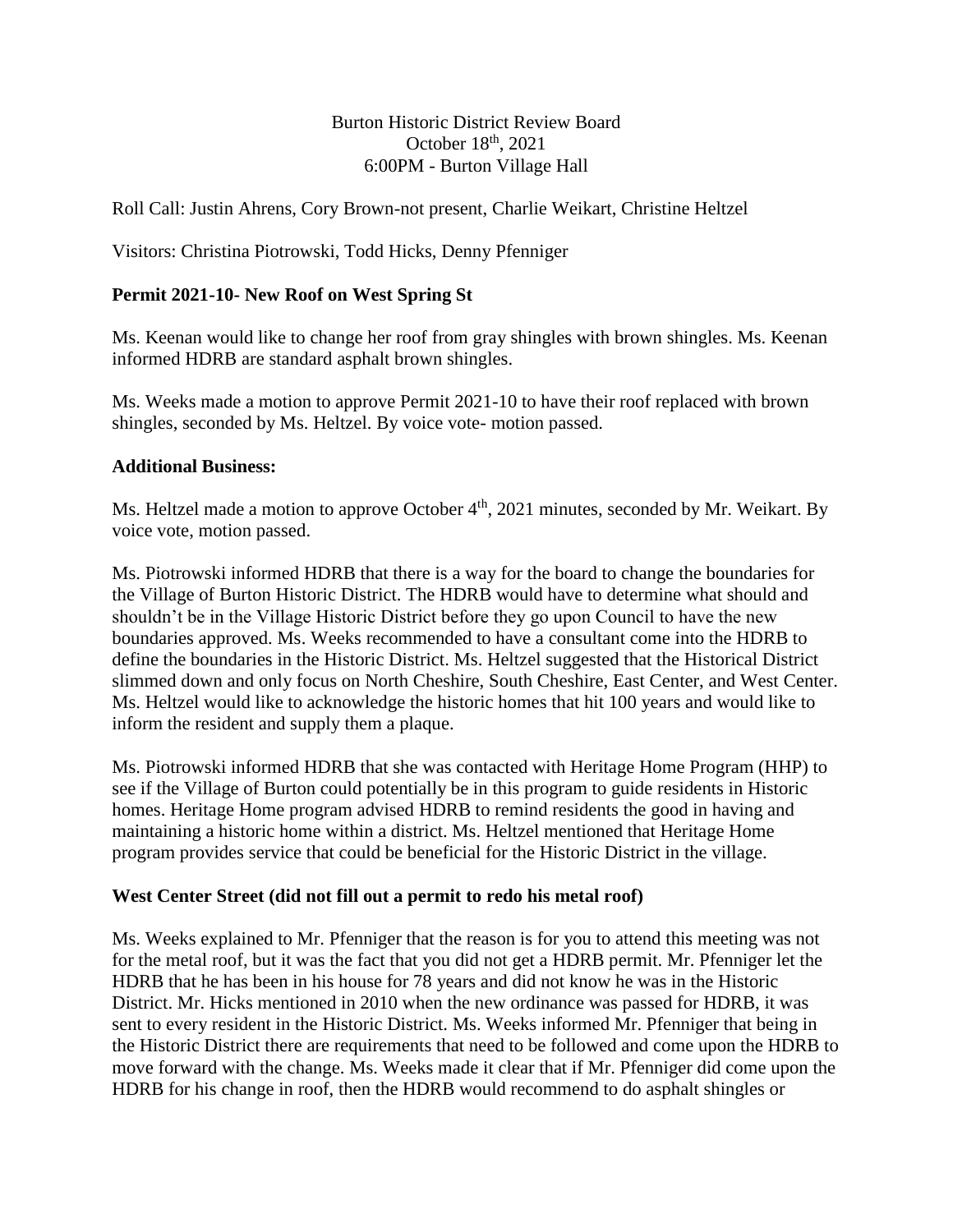## Burton Historic District Review Board October  $18<sup>th</sup>$ , 2021 6:00PM - Burton Village Hall

Roll Call: Justin Ahrens, Cory Brown-not present, Charlie Weikart, Christine Heltzel

Visitors: Christina Piotrowski, Todd Hicks, Denny Pfenniger

# **Permit 2021-10- New Roof on West Spring St**

Ms. Keenan would like to change her roof from gray shingles with brown shingles. Ms. Keenan informed HDRB are standard asphalt brown shingles.

Ms. Weeks made a motion to approve Permit 2021-10 to have their roof replaced with brown shingles, seconded by Ms. Heltzel. By voice vote- motion passed.

#### **Additional Business:**

Ms. Heltzel made a motion to approve October 4<sup>th</sup>, 2021 minutes, seconded by Mr. Weikart. By voice vote, motion passed.

Ms. Piotrowski informed HDRB that there is a way for the board to change the boundaries for the Village of Burton Historic District. The HDRB would have to determine what should and shouldn't be in the Village Historic District before they go upon Council to have the new boundaries approved. Ms. Weeks recommended to have a consultant come into the HDRB to define the boundaries in the Historic District. Ms. Heltzel suggested that the Historical District slimmed down and only focus on North Cheshire, South Cheshire, East Center, and West Center. Ms. Heltzel would like to acknowledge the historic homes that hit 100 years and would like to inform the resident and supply them a plaque.

Ms. Piotrowski informed HDRB that she was contacted with Heritage Home Program (HHP) to see if the Village of Burton could potentially be in this program to guide residents in Historic homes. Heritage Home program advised HDRB to remind residents the good in having and maintaining a historic home within a district. Ms. Heltzel mentioned that Heritage Home program provides service that could be beneficial for the Historic District in the village.

#### **West Center Street (did not fill out a permit to redo his metal roof)**

Ms. Weeks explained to Mr. Pfenniger that the reason is for you to attend this meeting was not for the metal roof, but it was the fact that you did not get a HDRB permit. Mr. Pfenniger let the HDRB that he has been in his house for 78 years and did not know he was in the Historic District. Mr. Hicks mentioned in 2010 when the new ordinance was passed for HDRB, it was sent to every resident in the Historic District. Ms. Weeks informed Mr. Pfenniger that being in the Historic District there are requirements that need to be followed and come upon the HDRB to move forward with the change. Ms. Weeks made it clear that if Mr. Pfenniger did come upon the HDRB for his change in roof, then the HDRB would recommend to do asphalt shingles or